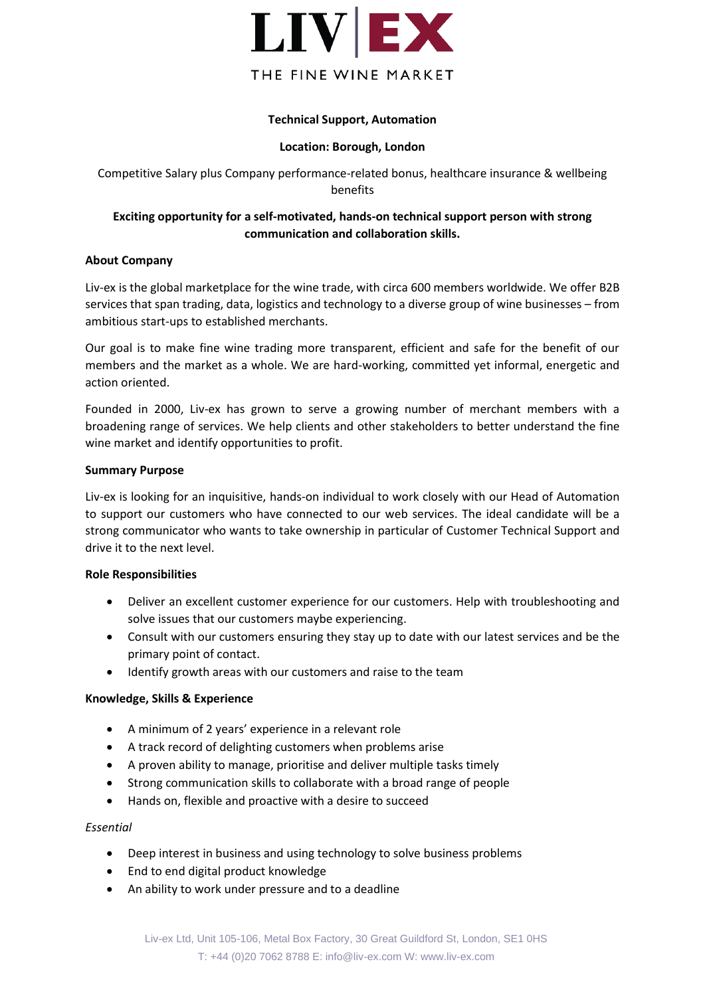

## **Technical Support, Automation**

### **Location: Borough, London**

Competitive Salary plus Company performance-related bonus, healthcare insurance & wellbeing benefits

# **Exciting opportunity for a self-motivated, hands-on technical support person with strong communication and collaboration skills.**

## **About Company**

Liv-ex is the global marketplace for the wine trade, with circa 600 members worldwide. We offer B2B services that span trading, data, logistics and technology to a diverse group of wine businesses – from ambitious start-ups to established merchants.

Our goal is to make fine wine trading more transparent, efficient and safe for the benefit of our members and the market as a whole. We are hard-working, committed yet informal, energetic and action oriented.

Founded in 2000, Liv-ex has grown to serve a growing number of merchant members with a broadening range of services. We help clients and other stakeholders to better understand the fine wine market and identify opportunities to profit.

## **Summary Purpose**

Liv-ex is looking for an inquisitive, hands-on individual to work closely with our Head of Automation to support our customers who have connected to our web services. The ideal candidate will be a strong communicator who wants to take ownership in particular of Customer Technical Support and drive it to the next level.

### **Role Responsibilities**

- Deliver an excellent customer experience for our customers. Help with troubleshooting and solve issues that our customers maybe experiencing.
- Consult with our customers ensuring they stay up to date with our latest services and be the primary point of contact.
- Identify growth areas with our customers and raise to the team

### **Knowledge, Skills & Experience**

- A minimum of 2 years' experience in a relevant role
- A track record of delighting customers when problems arise
- A proven ability to manage, prioritise and deliver multiple tasks timely
- Strong communication skills to collaborate with a broad range of people
- Hands on, flexible and proactive with a desire to succeed

### *Essential*

- Deep interest in business and using technology to solve business problems
- End to end digital product knowledge
- An ability to work under pressure and to a deadline